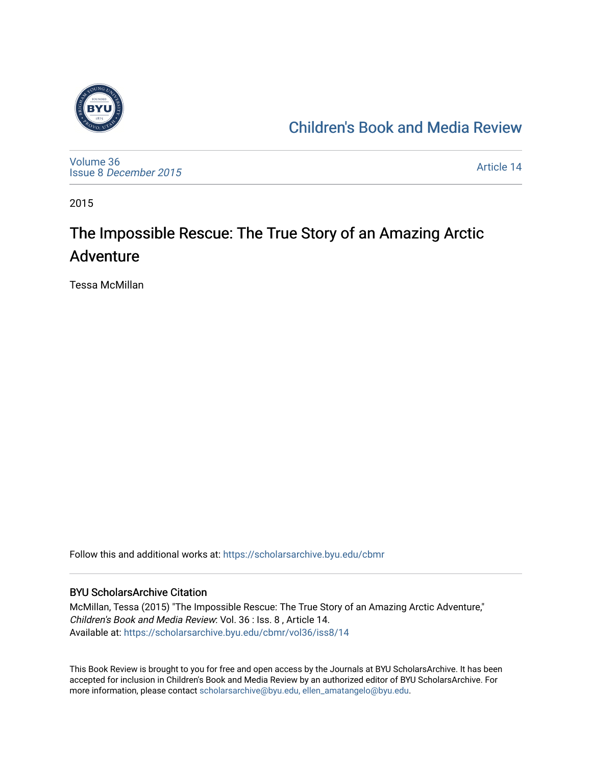

## [Children's Book and Media Review](https://scholarsarchive.byu.edu/cbmr)

[Volume 36](https://scholarsarchive.byu.edu/cbmr/vol36) Issue 8 [December 2015](https://scholarsarchive.byu.edu/cbmr/vol36/iss8)

[Article 14](https://scholarsarchive.byu.edu/cbmr/vol36/iss8/14) 

2015

## The Impossible Rescue: The True Story of an Amazing Arctic Adventure

Tessa McMillan

Follow this and additional works at: [https://scholarsarchive.byu.edu/cbmr](https://scholarsarchive.byu.edu/cbmr?utm_source=scholarsarchive.byu.edu%2Fcbmr%2Fvol36%2Fiss8%2F14&utm_medium=PDF&utm_campaign=PDFCoverPages) 

## BYU ScholarsArchive Citation

McMillan, Tessa (2015) "The Impossible Rescue: The True Story of an Amazing Arctic Adventure," Children's Book and Media Review: Vol. 36 : Iss. 8 , Article 14. Available at: [https://scholarsarchive.byu.edu/cbmr/vol36/iss8/14](https://scholarsarchive.byu.edu/cbmr/vol36/iss8/14?utm_source=scholarsarchive.byu.edu%2Fcbmr%2Fvol36%2Fiss8%2F14&utm_medium=PDF&utm_campaign=PDFCoverPages)

This Book Review is brought to you for free and open access by the Journals at BYU ScholarsArchive. It has been accepted for inclusion in Children's Book and Media Review by an authorized editor of BYU ScholarsArchive. For more information, please contact [scholarsarchive@byu.edu, ellen\\_amatangelo@byu.edu.](mailto:scholarsarchive@byu.edu,%20ellen_amatangelo@byu.edu)